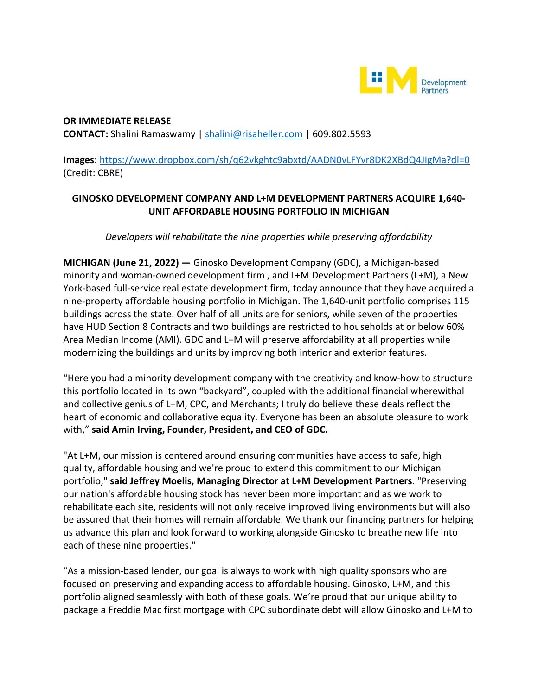

**OR IMMEDIATE RELEASE CONTACT:** Shalini Ramaswamy | [shalini@risaheller.com](mailto:shalini@risaheller.com) | 609.802.5593

**Images**:<https://www.dropbox.com/sh/q62vkghtc9abxtd/AADN0vLFYvr8DK2XBdQ4JIgMa?dl=0> (Credit: CBRE)

## **GINOSKO DEVELOPMENT COMPANY AND L+M DEVELOPMENT PARTNERS ACQUIRE 1,640- UNIT AFFORDABLE HOUSING PORTFOLIO IN MICHIGAN**

*Developers will rehabilitate the nine properties while preserving affordability* 

**MICHIGAN (June 21, 2022) —** Ginosko Development Company (GDC), a Michigan-based minority and woman-owned development firm , and L+M Development Partners (L+M), a New York-based full-service real estate development firm, today announce that they have acquired a nine-property affordable housing portfolio in Michigan. The 1,640-unit portfolio comprises 115 buildings across the state. Over half of all units are for seniors, while seven of the properties have HUD Section 8 Contracts and two buildings are restricted to households at or below 60% Area Median Income (AMI). GDC and L+M will preserve affordability at all properties while modernizing the buildings and units by improving both interior and exterior features.

"Here you had a minority development company with the creativity and know-how to structure this portfolio located in its own "backyard", coupled with the additional financial wherewithal and collective genius of L+M, CPC, and Merchants; I truly do believe these deals reflect the heart of economic and collaborative equality. Everyone has been an absolute pleasure to work with," **said Amin Irving, Founder, President, and CEO of GDC.**

"At L+M, our mission is centered around ensuring communities have access to safe, high quality, affordable housing and we're proud to extend this commitment to our Michigan portfolio," **said Jeffrey Moelis, Managing Director at L+M Development Partners**. "Preserving our nation's affordable housing stock has never been more important and as we work to rehabilitate each site, residents will not only receive improved living environments but will also be assured that their homes will remain affordable. We thank our financing partners for helping us advance this plan and look forward to working alongside Ginosko to breathe new life into each of these nine properties."

"As a mission-based lender, our goal is always to work with high quality sponsors who are focused on preserving and expanding access to affordable housing. Ginosko, L+M, and this portfolio aligned seamlessly with both of these goals. We're proud that our unique ability to package a Freddie Mac first mortgage with CPC subordinate debt will allow Ginosko and L+M to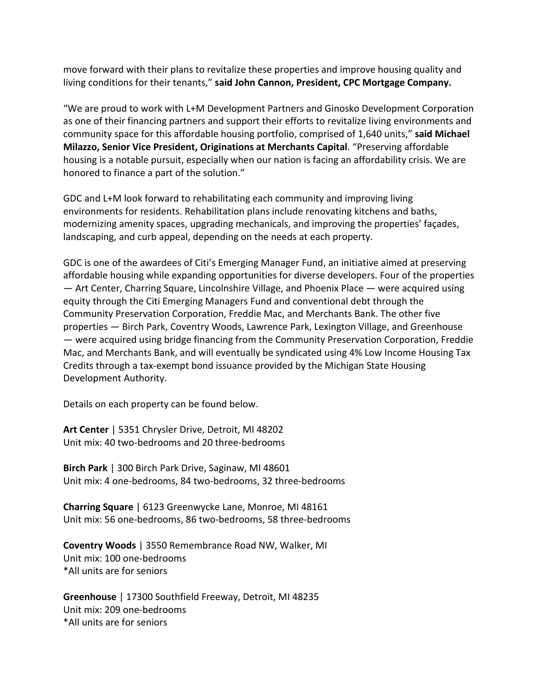move forward with their plans to revitalize these properties and improve housing quality and living conditions for their tenants," **said John Cannon, President, CPC Mortgage Company.**

"We are proud to work with L+M Development Partners and Ginosko Development Corporation as one of their financing partners and support their efforts to revitalize living environments and community space for this affordable housing portfolio, comprised of 1,640 units," **said Michael Milazzo, Senior Vice President, Originations at Merchants Capital**. "Preserving affordable housing is a notable pursuit, especially when our nation is facing an affordability crisis. We are honored to finance a part of the solution."

GDC and L+M look forward to rehabilitating each community and improving living environments for residents. Rehabilitation plans include renovating kitchens and baths, modernizing amenity spaces, upgrading mechanicals, and improving the properties' façades, landscaping, and curb appeal, depending on the needs at each property.

GDC is one of the awardees of Citi's Emerging Manager Fund, an initiative aimed at preserving affordable housing while expanding opportunities for diverse developers. Four of the properties — Art Center, Charring Square, Lincolnshire Village, and Phoenix Place — were acquired using equity through the Citi Emerging Managers Fund and conventional debt through the Community Preservation Corporation, Freddie Mac, and Merchants Bank. The other five properties — Birch Park, Coventry Woods, Lawrence Park, Lexington Village, and Greenhouse — were acquired using bridge financing from the Community Preservation Corporation, Freddie Mac, and Merchants Bank, and will eventually be syndicated using 4% Low Income Housing Tax Credits through a tax-exempt bond issuance provided by the Michigan State Housing Development Authority.

Details on each property can be found below.

**Art Center** | 5351 Chrysler Drive, Detroit, MI 48202 Unit mix: 40 two-bedrooms and 20 three-bedrooms

**Birch Park** | 300 Birch Park Drive, Saginaw, MI 48601 Unit mix: 4 one-bedrooms, 84 two-bedrooms, 32 three-bedrooms

**Charring Square** | 6123 Greenwycke Lane, Monroe, MI 48161 Unit mix: 56 one-bedrooms, 86 two-bedrooms, 58 three-bedrooms

**Coventry Woods** | 3550 Remembrance Road NW, Walker, MI Unit mix: 100 one-bedrooms \*All units are for seniors

**Greenhouse** | 17300 Southfield Freeway, Detroit, MI 48235 Unit mix: 209 one-bedrooms \*All units are for seniors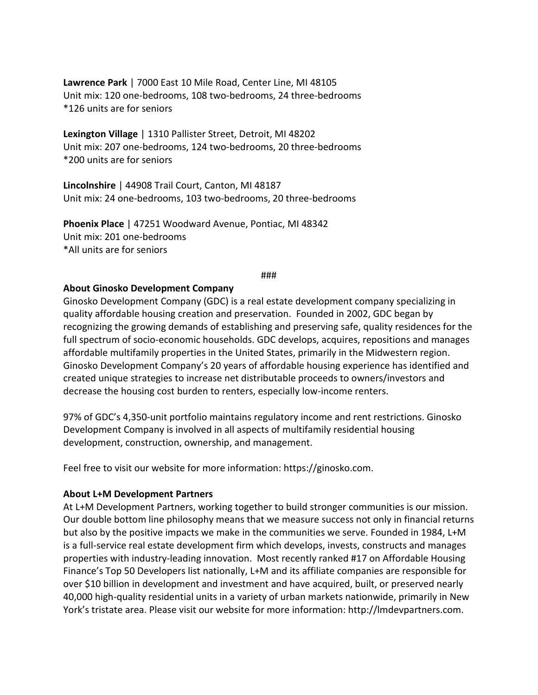**Lawrence Park** | 7000 East 10 Mile Road, Center Line, MI 48105 Unit mix: 120 one-bedrooms, 108 two-bedrooms, 24 three-bedrooms \*126 units are for seniors

**Lexington Village** | 1310 Pallister Street, Detroit, MI 48202 Unit mix: 207 one-bedrooms, 124 two-bedrooms, 20 three-bedrooms \*200 units are for seniors

**Lincolnshire** | 44908 Trail Court, Canton, MI 48187 Unit mix: 24 one-bedrooms, 103 two-bedrooms, 20 three-bedrooms

**Phoenix Place** | 47251 Woodward Avenue, Pontiac, MI 48342 Unit mix: 201 one-bedrooms \*All units are for seniors

## ###

## **About Ginosko Development Company**

Ginosko Development Company (GDC) is a real estate development company specializing in quality affordable housing creation and preservation. Founded in 2002, GDC began by recognizing the growing demands of establishing and preserving safe, quality residences for the full spectrum of socio-economic households. GDC develops, acquires, repositions and manages affordable multifamily properties in the United States, primarily in the Midwestern region. Ginosko Development Company's 20 years of affordable housing experience has identified and created unique strategies to increase net distributable proceeds to owners/investors and decrease the housing cost burden to renters, especially low-income renters.

97% of GDC's 4,350-unit portfolio maintains regulatory income and rent restrictions. Ginosko Development Company is involved in all aspects of multifamily residential housing development, construction, ownership, and management.

Feel free to visit our website for more information: https://ginosko.com.

## **About L+M Development Partners**

At L+M Development Partners, working together to build stronger communities is our mission. Our double bottom line philosophy means that we measure success not only in financial returns but also by the positive impacts we make in the communities we serve. Founded in 1984, L+M is a full-service real estate development firm which develops, invests, constructs and manages properties with industry-leading innovation. Most recently ranked #17 on Affordable Housing Finance's Top 50 Developers list nationally, L+M and its affiliate companies are responsible for over \$10 billion in development and investment and have acquired, built, or preserved nearly 40,000 high-quality residential units in a variety of urban markets nationwide, primarily in New York's tristate area. Please visit our website for more information: http://lmdevpartners.com.